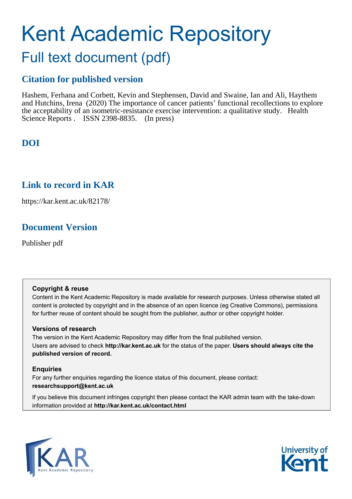# Kent Academic Repository Full text document (pdf)

## **Citation for published version**

Hashem, Ferhana and Corbett, Kevin and Stephensen, David and Swaine, Ian and Ali, Haythem and Hutchins, Irena (2020) The importance of cancer patients' functional recollections to explore the acceptability of an isometric-resistance exercise intervention: a qualitative study. Health Science Reports . ISSN 2398-8835. (In press)

# **DOI**

## **Link to record in KAR**

https://kar.kent.ac.uk/82178/

# **Document Version**

Publisher pdf

### **Copyright & reuse**

Content in the Kent Academic Repository is made available for research purposes. Unless otherwise stated all content is protected by copyright and in the absence of an open licence (eg Creative Commons), permissions for further reuse of content should be sought from the publisher, author or other copyright holder.

### **Versions of research**

The version in the Kent Academic Repository may differ from the final published version. Users are advised to check **http://kar.kent.ac.uk** for the status of the paper. **Users should always cite the published version of record.**

### **Enquiries**

For any further enquiries regarding the licence status of this document, please contact: **researchsupport@kent.ac.uk**

If you believe this document infringes copyright then please contact the KAR admin team with the take-down information provided at **http://kar.kent.ac.uk/contact.html**



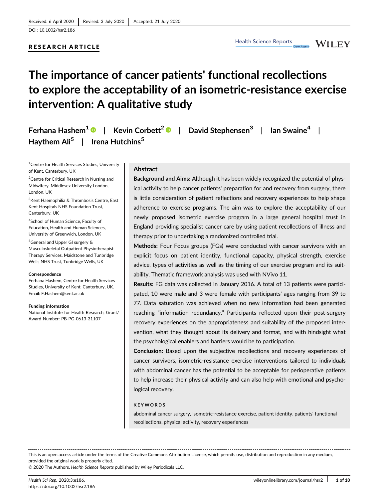DOI: 10.1002/hsr2.186

#### RESEARCH ARTICLE

**WILEY** 

# The importance of cancer patients' functional recollections to explore the acceptability of an isometric-resistance exercise intervention: A qualitative study

Ferhana Hashem<sup>1</sup>  $\bullet$  | Kevin Corbett<sup>2</sup>  $\bullet$  | David Stephensen<sup>3</sup> | Ian Swaine<sup>4</sup> | Haythem Ali<sup>5</sup> | Irena Hutchins<sup>5</sup>

<sup>1</sup>Centre for Health Services Studies, University of Kent, Canterbury, UK

<sup>2</sup>Centre for Critical Research in Nursing and Midwifery, Middlesex University London, London, UK

<sup>3</sup>Kent Haemophilia & Thrombosis Centre, East Kent Hospitals NHS Foundation Trust, Canterbury, UK

4 School of Human Science, Faculty of Education, Health and Human Sciences, University of Greenwich, London, UK

5 General and Upper GI surgery & Musculoskeletal Outpatient Physiotherapist Therapy Services, Maidstone and Tunbridge Wells NHS Trust, Tunbridge Wells, UK

#### **Correspondence**

Ferhana Hashem, Centre for Health Services Studies, University of Kent, Canterbury, UK. Email: [F.Hashem@kent.ac.uk](mailto:F.Hashem@kent.ac.uk)

#### Funding information

National Institute for Health Research, Grant/ Award Number: PB-PG-0613-31107

#### Abstract

Background and Aims: Although it has been widely recognized the potential of physical activity to help cancer patients' preparation for and recovery from surgery, there is little consideration of patient reflections and recovery experiences to help shape adherence to exercise programs. The aim was to explore the acceptability of our newly proposed isometric exercise program in a large general hospital trust in England providing specialist cancer care by using patient recollections of illness and therapy prior to undertaking a randomized controlled trial.

Methods: Four Focus groups (FGs) were conducted with cancer survivors with an explicit focus on patient identity, functional capacity, physical strength, exercise advice, types of activities as well as the timing of our exercise program and its suitability. Thematic framework analysis was used with NVivo 11.

Results: FG data was collected in January 2016. A total of 13 patients were participated, 10 were male and 3 were female with participants' ages ranging from 39 to 77. Data saturation was achieved when no new information had been generated reaching "information redundancy." Participants reflected upon their post-surgery recovery experiences on the appropriateness and suitability of the proposed intervention, what they thought about its delivery and format, and with hindsight what the psychological enablers and barriers would be to participation.

Conclusion: Based upon the subjective recollections and recovery experiences of cancer survivors, isometric-resistance exercise interventions tailored to individuals with abdominal cancer has the potential to be acceptable for perioperative patients to help increase their physical activity and can also help with emotional and psychological recovery.

#### KEYWORDS

abdominal cancer surgery, isometric-resistance exercise, patient identity, patients' functional recollections, physical activity, recovery experiences

This is an open access article under the terms of the [Creative Commons Attribution](http://creativecommons.org/licenses/by/4.0/) License, which permits use, distribution and reproduction in any medium, provided the original work is properly cited.

© 2020 The Authors. Health Science Reports published by Wiley Periodicals LLC.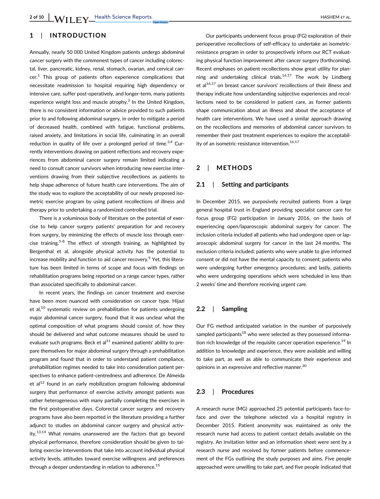### 1 | INTRODUCTION

Annually, nearly 50 000 United Kingdom patients undergo abdominal cancer surgery with the commonest types of cancer including colorectal, liver, pancreatic, kidney, renal, stomach, ovarian, and cervical can $cer<sup>1</sup>$  This group of patients often experience complications that necessitate readmission to hospital requiring high dependency or intensive care, suffer post-operatively, and longer-term, many patients experience weight loss and muscle atrophy.<sup>2</sup> In the United Kingdom, there is no consistent information or advice provided to such patients prior to and following abdominal surgery, in order to mitigate a period of decreased health, combined with fatigue, functional problems, raised anxiety, and limitations in social life, culminating in an overall reduction in quality of life over a prolonged period of time.<sup>3,4</sup> Currently interventions drawing on patient reflections and recovery experiences from abdominal cancer surgery remain limited indicating a need to consult cancer survivors when introducing new exercise interventions drawing from their subjective recollections as patients to help shape adherence of future health care interventions. The aim of the study was to explore the acceptability of our newly proposed isometric exercise program by using patient recollections of illness and therapy prior to undertaking a randomized controlled trial.

There is a voluminous body of literature on the potential of exercise to help cancer surgery patients' preparation for and recovery from surgery, by minimizing the effects of muscle loss through exercise training.<sup>5-8</sup> The effect of strength training, as highlighted by Bergenthal et al, alongside physical activity has the potential to increase mobility and function to aid cancer recovery.<sup>9</sup> Yet, this literature has been limited in terms of scope and focus with findings on rehabilitation programs being reported on a range cancer types, rather than associated specifically to abdominal cancer.

In recent years, the findings on cancer treatment and exercise have been more nuanced with consideration on cancer type. Hijazi et al, $^{10}$  systematic review on prehabilitation for patients undergoing major abdominal cancer surgery, found that it was unclear what the optimal composition of what programs should consist of, how they should be delivered and what outcome measures should be used to evaluate such programs. Beck et al $^{11}$  examined patients' ability to prepare themselves for major abdominal surgery through a prehabilitation program and found that in order to understand patient compliance, prehabilitation regimes needed to take into consideration patient perspectives to enhance patient-centredness and adherence. De Almeida et al $^{12}$  found in an early mobilization program following abdominal surgery that performance of exercise activity amongst patients was rather heterogeneous with many partially completing the exercises in the first postoperative days. Colorectal cancer surgery and recovery programs have also been reported in the literature providing a further adjunct to studies on abdominal cancer surgery and physical activity.<sup>13,14</sup> What remains unanswered are the factors that go beyond physical performance, therefore consideration should be given to tailoring exercise interventions that take into account individual physical activity levels, attitudes toward exercise willingness and preferences through a deeper understanding in relation to adherence.<sup>15</sup>

Our participants underwent focus group (FG) exploration of their perioperative recollections of self-efficacy to undertake an isometricresistance program in order to prospectively inform our RCT evaluating physical function improvement after cancer surgery (forthcoming). Recent emphases on patient recollections show great utility for planning and undertaking clinical trials.<sup>16,17</sup> The work by Lindberg et  $al<sup>16,17</sup>$  on breast cancer survivors' recollections of their illness and therapy indicate how understanding subjective experiences and recollections need to be considered in patient care, as former patients shape communication about an illness and about the acceptance of health care interventions. We have used a similar approach drawing on the recollections and memories of abdominal cancer survivors to remember their past treatment experiences to explore the acceptability of an isometric-resistance intervention.16,17

#### 2 | METHODS

#### 2.1 | Setting and participants

In December 2015, we purposively recruited patients from a large general hospital trust in England providing specialist cancer care for focus group (FG) participation in January 2016, on the basis of experiencing open/laparoscopic abdominal surgery for cancer. The inclusion criteria included all patients who had undergone open or laparoscopic abdominal surgery for cancer in the last 24 months. The exclusion criteria included: patients who were unable to give informed consent or did not have the mental capacity to consent; patients who were undergoing further emergency procedures; and lastly, patients who were undergoing operations which were scheduled in less than 2 weeks' time and therefore receiving urgent care.

#### 2.2 | Sampling

Our FG method anticipated variation in the number of purposively sampled participants $18$  who were selected as they possessed information rich knowledge of the requisite cancer operation experience.<sup>19</sup> In addition to knowledge and experience, they were available and willing to take part, as well as able to communicate their experience and opinions in an expressive and reflective manner.<sup>20</sup>

#### 2.3 | Procedures

A research nurse (MG) approached 25 potential participants face-toface and over the telephone selected via a hospital registry in December 2015. Patient anonymity was maintained as only the research nurse had access to patient contact details available on the registry. An invitation letter and an information sheet were sent by a research nurse and received by former patients before commencement of the FGs outlining the study purposes and aims. Five people approached were unwilling to take part, and five people indicated that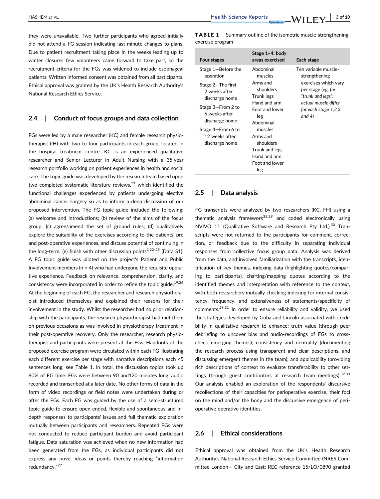$\frac{\text{Hashem er al.}}{\text{Hashem er al.}}$   $\frac{\text{Hashem er al.}}{\text{Hashem er al.}}$ 

they were unavailable. Two further participants who agreed initially did not attend a FG session indicating last minute changes to plans. Due to patient recruitment taking place in the weeks leading up to winter closures few volunteers came forward to take part, so the recruitment criteria for the FGs was widened to include esophageal patients. Written informed consent was obtained from all participants. Ethical approval was granted by the UK's Health Research Authority's National Research Ethics Service.

#### 2.4 | Conduct of focus groups and data collection

FGs were led by a male researcher (KC) and female research physiotherapist (IH) with two to four participants in each group, located in the hospital treatment centre. KC is an experienced qualitative researcher and Senior Lecturer in Adult Nursing with a 35 year research portfolio working on patient experiences in health and social care. The topic guide was developed by the research team based upon two completed systematic literature reviews, $21$  which identified the functional challenges experienced by patients undergoing elective abdominal cancer surgery so as to inform a deep discussion of our proposed intervention. The FG topic guide included the following: (a) welcome and introductions; (b) review of the aims of the focus group; (c) agree/amend the set of ground rules; (d) qualitatively explore the suitability of the exercises according to the patients' pre and post-operative experiences, and discuss potential of continuing in the long-term; (e) finish with other discussion points<sup>2,22-25</sup> (Data S1). A FG topic guide was piloted on the project's Patient and Public Involvement members ( $n = 4$ ) who had undergone the requisite operative experience. Feedback on relevance, comprehension, clarity, and consistency were incorporated in order to refine the topic guide.<sup>19,26</sup> At the beginning of each FG, the researcher and research physiotherapist introduced themselves and explained their reasons for their involvement in the study. Whilst the researcher had no prior relationship with the participants, the research physiotherapist had met them on previous occasions as was involved in physiotherapy treatment in their post-operative recovery. Only the researcher, research physiotherapist and participants were present at the FGs. Handouts of the proposed exercise program were circulated within each FG illustrating each different exercise per stage with narrative descriptions each <5 sentences long; see Table 1. In total, the discussion topics took up 80% of FG time. FGs were between 90 and120 minutes long, audio recorded and transcribed at a later date. No other forms of data in the form of video recordings or field notes were undertaken during or after the FGs. Each FG was guided by the use of a semi-structured topic guide to ensure open-ended, flexible and spontaneous and indepth responses to participants' issues and full thematic exploration mutually between participants and researchers. Repeated FGs were not conducted to reduce participant burden and avoid participant fatigue. Data saturation was achieved when no new information had been generated from the FGs, as individual participants did not express any novel ideas or points thereby reaching "information redundancy."<sup>27</sup>

TABLE 1 Summary outline of the isometric muscle-strengthening exercise program

| <b>Four stages</b>                                    | Stage 1-4: body<br>areas exercised                                                          | Each stage                                                                                         |
|-------------------------------------------------------|---------------------------------------------------------------------------------------------|----------------------------------------------------------------------------------------------------|
| Stage 1-Before the<br>operation                       | Ahdominal<br>muscles<br>Arms and                                                            | Ten variable muscle-<br>strengthening<br>exercises which vary                                      |
| Stage 2-The first<br>2 weeks after<br>discharge home  | shoulders<br>Trunk legs<br>Hand and arm<br>Foot and lower<br>leg<br>Ahdominal               | per stage (eg, for<br>"trunk and legs":<br>actual muscle differ<br>for each stage 1,2,3,<br>and 4) |
| Stage 3-From 2 to<br>6 weeks after<br>discharge home  |                                                                                             |                                                                                                    |
| Stage 4–From 6 to<br>12 weeks after<br>discharge home | muscles<br>Arms and<br>shoulders<br>Trunk and legs<br>Hand and arm<br>Foot and lower<br>leg |                                                                                                    |

#### 2.5 | Data analysis

FG transcripts were analyzed by two researchers (KC, FH) using a thematic analysis framework<sup>28,29</sup> and coded electronically using NVIVO 11 (Qualitative Software and Research Pty Ltd.).<sup>30</sup> Transcripts were not returned to the participants for comment, correction, or feedback due to the difficulty in separating individual responses from collective focus group data. Analysis was derived from the data, and involved familiarization with the transcripts, identification of key themes, indexing data (highlighting quotes/comparing to participants), charting/mapping quotes according to the identified themes and interpretation with reference to the context, with both researchers mutually checking indexing for internal consistency, frequency, and extensiveness of statements/specificity of comments.29,31 In order to ensure reliability and validity, we used the strategies developed by Guba and Lincoln associated with credibility in qualitative research to enhance: truth value (through peer debriefing to uncover bias and audio-recordings of FGs to crosscheck emerging themes); consistency and neutrality (documenting the research process using transparent and clear descriptions, and discussing emergent themes in the team); and applicability (providing rich descriptions of context to evaluate transferability to other settings through guest contributors at research team meetings).  $32,33$ Our analysis enabled an exploration of the respondents' discursive recollections of their capacities for perioperative exercise, their foci on the mind and/or the body and the discursive emergence of perioperative operative identities.

#### 2.6 | Ethical considerations

Ethical approval was obtained from the UK's Health Research Authority's National Research Ethics Service Committee (NRES Committee London— City and East; REC reference 15/LO/0890 granted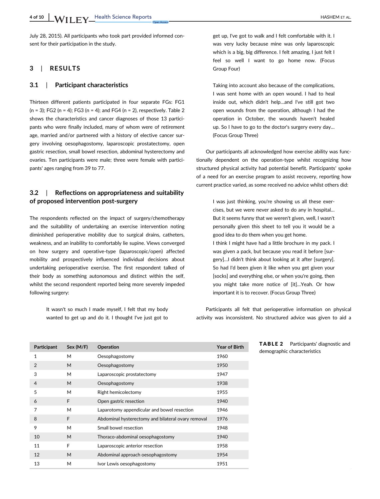July 28, 2015). All participants who took part provided informed consent for their participation in the study.

#### 3 | RESULTS

#### 3.1 | Participant characteristics

Thirteen different patients participated in four separate FGs: FG1  $(n = 3)$ ; FG2  $(n = 4)$ ; FG3  $(n = 4)$ ; and FG4  $(n = 2)$ , respectively. Table 2 shows the characteristics and cancer diagnoses of those 13 participants who were finally included, many of whom were of retirement age, married and/or partnered with a history of elective cancer surgery involving oesophagostomy, laparoscopic prostatectomy, open gastric resection, small bowel resection, abdominal hysterectomy and ovaries. Ten participants were male; three were female with participants' ages ranging from 39 to 77.

#### 3.2 | Reflections on appropriateness and suitability of proposed intervention post-surgery

The respondents reflected on the impact of surgery/chemotherapy and the suitability of undertaking an exercise intervention noting diminished perioperative mobility due to surgical drains, catheters, weakness, and an inability to comfortably lie supine. Views converged on how surgery and operative-type (laparoscopic/open) affected mobility and prospectively influenced individual decisions about undertaking perioperative exercise. The first respondent talked of their body as something autonomous and distinct within the self, whilst the second respondent reported being more severely impeded following surgery:

It wasn't so much I made myself, I felt that my body wanted to get up and do it. I thought I've just got to get up, I've got to walk and I felt comfortable with it. I was very lucky because mine was only laparoscopic which is a big, big difference. I felt amazing, I just felt I feel so well I want to go home now. (Focus Group Four)

Taking into account also because of the complications, I was sent home with an open wound. I had to heal inside out, which didn't help…and I've still got two open wounds from the operation, although I had the operation in October, the wounds haven't healed up. So I have to go to the doctor's surgery every day… (Focus Group Three)

Our participants all acknowledged how exercise ability was functionally dependent on the operation-type whilst recognizing how structured physical activity had potential benefit. Participants' spoke of a need for an exercise program to assist recovery, reporting how current practice varied, as some received no advice whilst others did:

> I was just thinking, you're showing us all these exercises, but we were never asked to do any in hospital… But it seems funny that we weren't given, well, I wasn't personally given this sheet to tell you it would be a good idea to do them when you get home. I think I might have had a little brochure in my pack. I was given a pack, but because you read it before [surgery]…I didn't think about looking at it after [surgery]. So had I'd been given it like when you get given your [socks] and everything else, or when you're going, then you might take more notice of [it]…Yeah. Or how important it is to recover. (Focus Group Three)

Participants all felt that perioperative information on physical activity was inconsistent. No structured advice was given to aid a

| Participant    | Sex (M/F) | Operation                                          | Year of Birth |
|----------------|-----------|----------------------------------------------------|---------------|
| 1              | M         | Oesophagostomy                                     | 1960          |
| 2              | M         | Oesophagostomy                                     | 1950          |
| 3              | M         | Laparoscopic prostatectomy                         | 1947          |
| $\overline{4}$ | M         | Oesophagostomy                                     | 1938          |
| 5              | M         | Right hemicolectomy                                | 1955          |
| 6              | F         | Open gastric resection                             | 1940          |
| 7              | M         | Laparotomy appendicular and bowel resection        | 1946          |
| 8              | F         | Abdominal hysterectomy and bilateral ovary removal | 1976          |
| 9              | М         | Small bowel resection                              | 1948          |
| 10             | M         | Thoraco-abdominal oesophagostomy                   | 1940          |
| 11             | F         | Laparoscopic anterior resection                    | 1958          |
| 12             | M         | Abdominal approach oesophagostomy                  | 1954          |
| 13             | M         | Ivor Lewis oesophagostomy                          | 1951          |

TABLE 2 Participants' diagnostic and demographic characteristics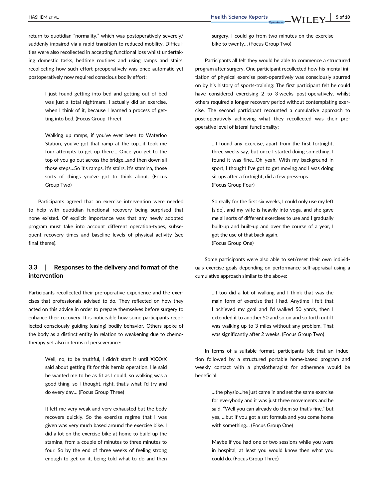return to quotidian "normality," which was postoperatively severely/ suddenly impaired via a rapid transition to reduced mobility. Difficulties were also recollected in accepting functional loss whilst undertaking domestic tasks, bedtime routines and using ramps and stairs, recollecting how such effort preoperatively was once automatic yet postoperatively now required conscious bodily effort:

> I just found getting into bed and getting out of bed was just a total nightmare. I actually did an exercise, when I think of it, because I learned a process of getting into bed. (Focus Group Three)

Walking up ramps, if you've ever been to Waterloo Station, you've got that ramp at the top…it took me four attempts to get up there… Once you get to the top of you go out across the bridge…and then down all those steps…So it's ramps, it's stairs, it's stamina, those sorts of things you've got to think about. (Focus Group Two)

Participants agreed that an exercise intervention were needed to help with quotidian functional recovery being surprised that none existed. Of explicit importance was that any newly adopted program must take into account different operation-types, subsequent recovery times and baseline levels of physical activity (see final theme).

#### 3.3 | Responses to the delivery and format of the intervention

Participants recollected their pre-operative experience and the exercises that professionals advised to do. They reflected on how they acted on this advice in order to prepare themselves before surgery to enhance their recovery. It is noticeable how some participants recollected consciously guiding (easing) bodily behavior. Others spoke of the body as a distinct entity in relation to weakening due to chemotherapy yet also in terms of perseverance:

> Well, no, to be truthful, I didn't start it until XXXXX said about getting fit for this hernia operation. He said he wanted me to be as fit as I could, so walking was a good thing, so I thought, right, that's what I'd try and do every day… (Focus Group Three)

> It left me very weak and very exhausted but the body recovers quickly. So the exercise regime that I was given was very much based around the exercise bike. I did a lot on the exercise bike at home to build up the stamina, from a couple of minutes to three minutes to four. So by the end of three weeks of feeling strong enough to get on it, being told what to do and then

surgery, I could go from two minutes on the exercise bike to twenty… (Focus Group Two)

Participants all felt they would be able to commence a structured program after surgery. One participant recollected how his mental initiation of physical exercise post-operatively was consciously spurred on by his history of sports-training: The first participant felt he could have considered exercising 2 to 3 weeks post-operatively, whilst others required a longer recovery period without contemplating exercise. The second participant recounted a cumulative approach to post-operatively achieving what they recollected was their preoperative level of lateral functionality:

> …I found any exercise, apart from the first fortnight, three weeks say, but once I started doing something, I found it was fine…Oh yeah. With my background in sport, I thought I've got to get moving and I was doing sit ups after a fortnight, did a few press-ups. (Focus Group Four)

> So really for the first six weeks, I could only use my left [side], and my wife is heavily into yoga, and she gave me all sorts of different exercises to use and I gradually built-up and built-up and over the course of a year, I got the use of that back again. (Focus Group One)

Some participants were also able to set/reset their own individuals exercise goals depending on performance self-appraisal using a cumulative approach similar to the above:

> …I too did a lot of walking and I think that was the main form of exercise that I had. Anytime I felt that I achieved my goal and I'd walked 50 yards, then I extended it to another 50 and so on and so forth until I was walking up to 3 miles without any problem. That was significantly after 2 weeks. (Focus Group Two)

In terms of a suitable format, participants felt that an induction followed by a structured portable home-based program and weekly contact with a physiotherapist for adherence would be beneficial:

> …the physio…he just came in and set the same exercise for everybody and it was just three movements and he said, "Well you can already do them so that's fine," but yes, …but if you got a set formula and you come home with something… (Focus Group One)

> Maybe if you had one or two sessions while you were in hospital, at least you would know then what you could do. (Focus Group Three)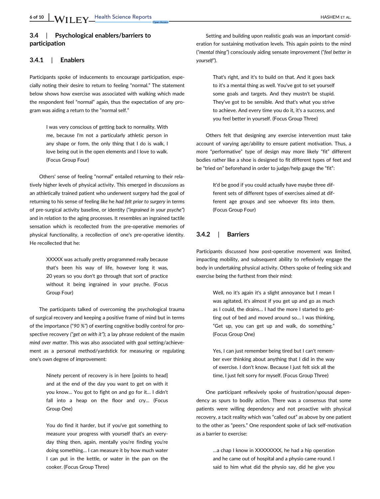#### 3.4 | Psychological enablers/barriers to participation

#### 3.4.1 | Enablers

Participants spoke of inducements to encourage participation, especially noting their desire to return to feeling "normal." The statement below shows how exercise was associated with walking which made the respondent feel "normal" again, thus the expectation of any program was aiding a return to the "normal self."

> I was very conscious of getting back to normality. With me, because I'm not a particularly athletic person in any shape or form, the only thing that I do is walk, I love being out in the open elements and I love to walk. (Focus Group Four)

Others' sense of feeling "normal" entailed returning to their relatively higher levels of physical activity. This emerged in discussions as an athletically trained patient who underwent surgery had the goal of returning to his sense of feeling like he had felt prior to surgery in terms of pre-surgical activity baseline, or identity ("ingrained in your psyche") and in relation to the aging processes. It resembles an ingrained tactile sensation which is recollected from the pre-operative memories of physical functionality, a recollection of one's pre-operative identity. He recollected that he:

> XXXXX was actually pretty programmed really because that's been his way of life, however long it was, 20 years so you don't go through that sort of practice without it being ingrained in your psyche. (Focus Group Four)

The participants talked of overcoming the psychological trauma of surgical recovery and keeping a positive frame of mind but in terms of the importance ("90 %") of exerting cognitive bodily control for prospective recovery ("get on with it"); a lay phrase redolent of the maxim mind over matter. This was also associated with goal setting/achievement as a personal method/yardstick for measuring or regulating one's own degree of improvement:

> Ninety percent of recovery is in here [points to head] and at the end of the day you want to get on with it you know… You got to fight on and go for it… I didn't fall into a heap on the floor and cry… (Focus Group One)

> You do find it harder, but if you've got something to measure your progress with yourself that's an everyday thing then, again, mentally you're finding you're doing something… I can measure it by how much water I can put in the kettle, or water in the pan on the cooker. (Focus Group Three)

Setting and building upon realistic goals was an important consideration for sustaining motivation levels. This again points to the mind ("mental thing") consciously aiding sensate improvement ("feel better in yourself").

> That's right, and it's to build on that. And it goes back to it's a mental thing as well. You've got to set yourself some goals and targets. And they mustn't be stupid. They've got to be sensible. And that's what you strive to achieve. And every time you do it, it's a success, and you feel better in yourself. (Focus Group Three)

Others felt that designing any exercise intervention must take account of varying age/ability to ensure patient motivation. Thus, a more "performative" type of design may more likely "fit" different bodies rather like a shoe is designed to fit different types of feet and be "tried on" beforehand in order to judge/help gauge the "fit":

> It'd be good if you could actually have maybe three different sets of different types of exercises aimed at different age groups and see whoever fits into them. (Focus Group Four)

#### 3.4.2 | Barriers

Participants discussed how post-operative movement was limited, impacting mobility, and subsequent ability to reflexively engage the body in undertaking physical activity. Others spoke of feeling sick and exercise being the furthest from their mind:

> Well, no it's again it's a slight annoyance but I mean I was agitated, it's almost if you get up and go as much as I could, the drains… I had the more I started to getting out of bed and moved around so… I was thinking, "Get up, you can get up and walk, do something." (Focus Group One)

> Yes, I can just remember being tired but I can't remember ever thinking about anything that I did in the way of exercise. I don't know. Because I just felt sick all the time, I just felt sorry for myself. (Focus Group Three)

One participant reflexively spoke of frustration/spousal dependency as spurs to bodily action. There was a consensus that some patients were willing dependency and not proactive with physical recovery, a tacit reality which was "called out" as above by one patient to the other as "peers." One respondent spoke of lack self-motivation as a barrier to exercise:

> …a chap I know in XXXXXXXX, he had a hip operation and he came out of hospital and a physio came round. I said to him what did the physio say, did he give you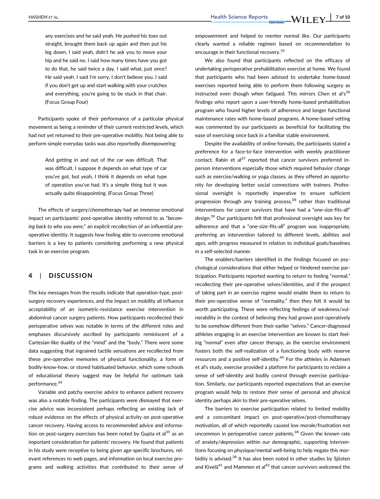any exercises and he said yeah. He pushed his toes out straight, brought them back up again and then put his leg down. I said yeah, didn't he ask you to move your hip and he said no. I said how many times have you got to do that, he said twice a day. I said what, just once? He said yeah. I said I'm sorry, I don't believe you. I said if you don't get up and start walking with your crutches and everything, you're going to be stuck in that chair. (Focus Group Four)

Participants spoke of their performance of a particular physical movement as being a reminder of their current restricted levels, which had not yet returned to their pre-operative mobility. Not being able to perform simple everyday tasks was also reportedly disempowering:

> And getting in and out of the car was difficult. That was difficult. I suppose it depends on what type of car you've got, but yeah, I think it depends on what type of operation you've had. It's a simple thing but it was actually quite disappointing. (Focus Group Three)

The effects of surgery/chemotherapy had an immense emotional impact on participants' post-operative identity referred to as "becoming back to who you were," an explicit recollection of an influential preoperative identity. It suggests how feeling able to overcome emotional barriers is a key to patients considering performing a new physical task in an exercise program.

#### 4 | DISCUSSION

The key messages from the results indicate that operation-type, postsurgery recovery experiences, and the impact on mobility all influence acceptability of an isometric-resistance exercise intervention in abdominal cancer surgery patients. How participants recollected their perioperative selves was notable in terms of the different roles and emphases discursively ascribed by participants reminiscent of a Cartesian-like duality of the "mind" and the "body." There were some data suggesting that ingrained tactile sensations are recollected from these pre-operative memories of physical functionality, a form of bodily-know-how, or stored habituated behavior, which some schools of educational theory suggest may be helpful for optimum task performance.<sup>34</sup>

Variable and patchy exercise advice to enhance patient recovery was also a notable finding. The participants were dismayed that exercise advice was inconsistent perhaps reflecting an existing lack of robust evidence on the effects of physical activity on post-operative cancer recovery. Having access to recommended advice and information on post-surgery exercises has been noted by Gupta et al $^{35}$  as an important consideration for patients' recovery. He found that patients in his study were receptive to being given age-specific brochures, relevant references to web pages, and information on local exercise programs and walking activities that contributed to their sense of

empowerment and helped to reenter normal like. Our participants clearly wanted a reliable regimen based on recommendation to encourage in their functional recovery.35

We also found that participants reflected on the efficacy of undertaking perioperative prehabilitation exercise at home. We found that participants who had been advised to undertake home-based exercises reported being able to perform them following surgery as instructed even though when fatigued. This mirrors Chen et al's<sup>36</sup> findings who report upon a user-friendly home-based prehabilitation program who found higher levels of adherence and longer functional maintenance rates with home-based programs. A home-based setting was commented by our participants as beneficial for facilitating the ease of exercising once back in a familiar stable environment.

Despite the availability of online formats, the participants stated a preference for a face-to-face intervention with weekly practitioner contact. Rabin et al $37$  reported that cancer survivors preferred inperson interventions especially those which required behavior change such as exercise/walking or yoga classes, as they offered an opportunity for developing better social connections with trainers. Professional oversight is reportedly imperative to ensure sufficient progression through any training process,<sup>38</sup> rather than traditional interventions for cancer survivors that have had a "one-size-fits-all" design.39 Our participants felt that professional oversight was key for adherence and that a "one-size-fits-all" program was inappropriate, preferring an intervention tailored to different levels, abilities and ages, with progress measured in relation to individual goals/baselines in a self-selected manner.

The enablers/barriers identified in the findings focused on psychological considerations that either helped or hindered exercise participation. Participants reported wanting to return to feeling "normal," recollecting their pre-operative selves/identities, and if the prospect of taking part in an exercise regime would enable them to return to their pre-operative sense of "normality," then they felt it would be worth participating. These were reflecting feelings of weakness/vulnerability in the context of believing they had grown post-operatively to be somehow different from their earlier "selves." Cancer-diagnosed athletes engaging in an exercise intervention are known to start feeling "normal" even after cancer therapy, as the exercise environment fosters both the self-realization of a functioning body with reserve resources and a positive self-identity.<sup>40</sup> For the athletes in Adamsen et al's study, exercise provided a platform for participants to reclaim a sense of self-identity and bodily control through exercise participation. Similarly, our participants reported expectations that an exercise program would help to restore their sense of personal and physical identity perhaps akin to their pre-operative selves.

The barriers to exercise participation related to limited mobility and a concomitant impact on post-operative/post-chemotherapy motivation, all of which reportedly caused low morale/frustration not uncommon in perioperative cancer patients.<sup>38</sup> Given the known rate of anxiety/depression within our demographic, supporting interventions focusing on physique/mental well-being to help negate this morbidity is advised.<sup>38</sup> It has also been noted in other studies by Sjösten and Kivelä<sup>41</sup> and Mammen et al<sup>42</sup> that cancer survivors welcomed the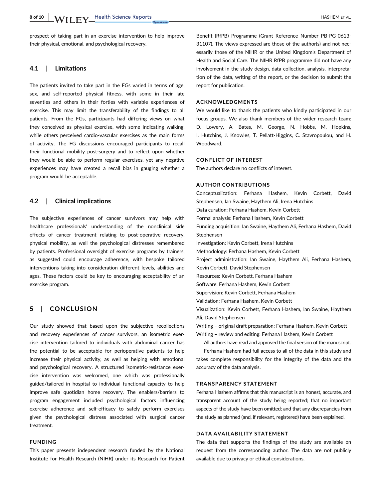prospect of taking part in an exercise intervention to help improve their physical, emotional, and psychological recovery.

#### 4.1 | Limitations

The patients invited to take part in the FGs varied in terms of age, sex, and self-reported physical fitness, with some in their late seventies and others in their forties with variable experiences of exercise. This may limit the transferability of the findings to all patients. From the FGs, participants had differing views on what they conceived as physical exercise, with some indicating walking, while others perceived cardio-vascular exercises as the main forms of activity. The FG discussions encouraged participants to recall their functional mobility post-surgery and to reflect upon whether they would be able to perform regular exercises, yet any negative experiences may have created a recall bias in gauging whether a program would be acceptable.

#### 4.2 | Clinical implications

The subjective experiences of cancer survivors may help with healthcare professionals' understanding of the nonclinical side effects of cancer treatment relating to post-operative recovery, physical mobility, as well the psychological distresses remembered by patients. Professional oversight of exercise programs by trainers, as suggested could encourage adherence, with bespoke tailored interventions taking into consideration different levels, abilities and ages. These factors could be key to encouraging acceptability of an exercise program.

#### 5 | CONCLUSION

Our study showed that based upon the subjective recollections and recovery experiences of cancer survivors, an isometric exercise intervention tailored to individuals with abdominal cancer has the potential to be acceptable for perioperative patients to help increase their physical activity, as well as helping with emotional and psychological recovery. A structured isometric-resistance exercise intervention was welcomed, one which was professionally guided/tailored in hospital to individual functional capacity to help improve safe quotidian home recovery. The enablers/barriers to program engagement included psychological factors influencing exercise adherence and self-efficacy to safely perform exercises given the psychological distress associated with surgical cancer treatment.

#### FUNDING

This paper presents independent research funded by the National Institute for Health Research (NIHR) under its Research for Patient Benefit (RfPB) Programme (Grant Reference Number PB-PG-0613- 31107). The views expressed are those of the author(s) and not necessarily those of the NIHR or the United Kingdom's Department of Health and Social Care. The NIHR RfPB programme did not have any involvement in the study design, data collection, analysis, interpretation of the data, writing of the report, or the decision to submit the report for publication.

#### ACKNOWLEDGMENTS

We would like to thank the patients who kindly participated in our focus groups. We also thank members of the wider research team: D. Lowery, A. Bates, M. George, N. Hobbs, M. Hopkins, I. Hutchins, J. Knowles, T. Pellatt-Higgins, C. Stavropoulou, and H. Woodward.

#### CONFLICT OF INTEREST

The authors declare no conflicts of interest.

#### AUTHOR CONTRIBUTIONS

Conceptualization: Ferhana Hashem, Kevin Corbett, David Stephensen, Ian Swaine, Haythem Ali, Irena Hutchins Data curation: Ferhana Hashem, Kevin Corbett Formal analysis: Ferhana Hashem, Kevin Corbett Funding acquisition: Ian Swaine, Haythem Ali, Ferhana Hashem, David Stephensen Investigation: Kevin Corbett, Irena Hutchins Methodology: Ferhana Hashem, Kevin Corbett Project administration: Ian Swaine, Haythem Ali, Ferhana Hashem, Kevin Corbett, David Stephensen Resources: Kevin Corbett, Ferhana Hashem Software: Ferhana Hashem, Kevin Corbett Supervision: Kevin Corbett, Ferhana Hashem Validation: Ferhana Hashem, Kevin Corbett Visualization: Kevin Corbett, Ferhana Hashem, Ian Swaine, Haythem Ali, David Stephensen Writing – original draft preparation: Ferhana Hashem, Kevin Corbett Writing – review and editing: Ferhana Hashem, Kevin Corbett All authors have read and approved the final version of the manuscript. Ferhana Hashem had full access to all of the data in this study and

takes complete responsibility for the integrity of the data and the accuracy of the data analysis.

#### TRANSPARENCY STATEMENT

Ferhana Hashem affirms that this manuscript is an honest, accurate, and transparent account of the study being reported; that no important aspects of the study have been omitted; and that any discrepancies from the study as planned (and, if relevant, registered) have been explained.

#### DATA AVAILABILITY STATEMENT

The data that supports the findings of the study are available on request from the corresponding author. The data are not publicly available due to privacy or ethical considerations.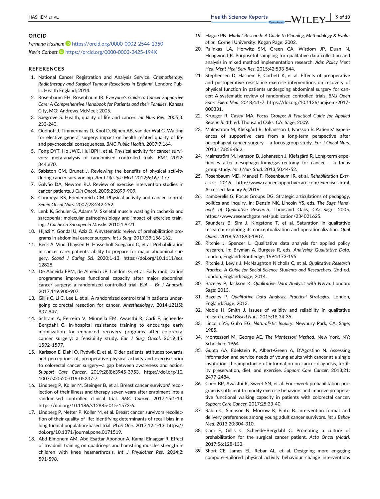#### ORCID

Ferhana Hashem <https://orcid.org/0000-0002-2544-1350> Kevin Corbett D <https://orcid.org/0000-0003-2425-194X>

#### **REFERENCES**

- 1. National Cancer Registration and Analysis Service. Chemotherapy, Radiotherapy and Surgical Tumour Resections in England. London: Public Health England; 2014.
- 2. Rosenbaum EH, Rosenbaum IR. Everyone's Guide to Cancer Supportive Care: A Comprehensive Handbook for Patients and their Families. Kansas City, MO: Andrews McMeel; 2005.
- 3. Saegrove S. Health, quality of life and cancer. Int Nurs Rev. 2005;3: 233-240.
- 4. Oudhoff J, Timmermans D, Knol D, Bijnen AB, van der Wal G. Waiting for elective general surgery: impact on health related quality of life and psychosocial consequences. BMC Public Health. 2007;7:164.
- 5. Fong DYT, Ho JWC, Hui BPH, et al. Physical activity for cancer survivors: meta-analysis of randomised controlled trials. BMJ. 2012; 344:e70.
- 6. Sabiston CM, Brunet J. Reviewing the benefits of physical activity during cancer survivorship. Am J Lifestyle Med. 2012;6:167-177.
- 7. Galvão DA, Newton RU. Review of exercise intervention studies in cancer patients. J Clin Oncol. 2005;23:899-909.
- 8. Courneya KS, Friedenreich CM. Physical activity and cancer control. Semin Oncol Nurs. 2007;23:242-252.
- 9. Lenk K, Schuler G, Adams V. Skeletal muscle wasting in cachexia and sarcopenia: molecular pathophysiology and impact of exercise training. J Cachexia Sarcopenia Muscle. 2010;1:9-21.
- 10. Hijazi Y, Gondal U, Aziz O. A systematic review of prehabilitation programs in abdominal cancer surgery. Int J Surg. 2017;39:156-162.
- 11. Beck A, Vind Thaysen H, Hasselholt Soegaard C, et al. Prehabilitation in cancer care: patients' ability to prepare for major abdominal surgery. Scand J Caring Sci. 2020;1-13. [https://doi.org/10.1111/scs.](https://doi.org/10.1111/scs.12828) [12828](https://doi.org/10.1111/scs.12828).
- 12. De Almeida EPM, de Almeida JP, Landoni G, et al. Early mobilization programme improves functional capacity after major abdominal cancer surgery: a randomized controlled trial. BJA – Br J Anaesth. 2017;119:900-907.
- 13. Gillis C, Li C, Lee L, et al. A randomized control trial in patients undergoing colorectal resection for cancer. Anesthesiology. 2014;121(5): 937-947.
- 14. Schram A, Ferreira V, Minnella EM, Awasthi R, Carli F, Scheede-Bergdahl C. In-hospital resistance training to encourage early mobilization for enhanced recovery programs after colorectal cancer surgery: a feasibility study. Eur J Surg Oncol. 2019;45: 1592-1597.
- 15. Karlsson E, Dahl O, Rydwik E, et al. Older patients' attitudes towards, and perceptions of, preoperative physical activity and exercise prior to colorectal cancer surgery—a gap between awareness and action. Support Care Cancer. 2019;28(8):3945-3953. [https://doi.org/10.](https://doi.org/10.1007/s00520-019-05237-7) [1007/s00520-019-05237-7.](https://doi.org/10.1007/s00520-019-05237-7)
- 16. Lindberg P, Koller M, Steinger B, et al. Breast cancer survivors' recollection of their illness and therapy seven years after enrolment into a randomised controlled clinical trial. BMC Cancer. 2017;15:1-14. <https://doi.org/10.1186/s12885-015-1573-6>.
- 17. Lindberg P, Netter P, Koller M, et al. Breast cancer survivors recollection of their quality of life: Identifying determinants of recall bias in a longitudinal population-based trial. PLoS One. 2017;12:1-13. [https://](https://doi.org/10.1371/journal.pone.0171519) [doi.org/10.1371/journal.pone.0171519.](https://doi.org/10.1371/journal.pone.0171519)
- 18. Abd-Elmonem AM, Abd-Esattar Abonour A, Kamal Elnaggar R. Effect of treadmill training on quadriceps and hamstring muscles strength in children with knee heamarthrosis. Int J Physiother Res. 2014;2: 591-598.
- 19. Hague PN. Market Research: A Guide to Planning, Methodology & Evaluation. Cornell University: Kogan Page; 2002.
- 20. Palinkas LA, Horwitz SM, Green CA, Wisdom JP, Duan N, Hoagwood K. Purposeful sampling for qualitative data collection and analysis in mixed method implementation research. Adm Policy Ment Heal Ment Heal Serv Res. 2015;42:533-544.
- 21. Stephensen D, Hashem F, Corbett K, et al. Effects of preoperative and postoperative resistance exercise interventions on recovery of physical function in patients undergoing abdominal surgery for cancer: A systematic review of randomised controlled trials. BMJ Open Sport Exerc Med. 2018;4:1-7. [https://doi.org/10.1136/bmjsem-2017-](https://doi.org/10.1136/bmjsem-2017-000331) [000331.](https://doi.org/10.1136/bmjsem-2017-000331)
- 22. Krueger R, Casey MA. Focus Groups: A Practical Guide for Applied Research. 4th ed. Thousand Oaks, CA: Sage; 2009.
- 23. Malmström M, Klefsgård R, Johansson J, Ivarsson B. Patients' experiences of supportive care from a long-term perspective after oesophageal cancer surgery – a focus group study. Eur J Oncol Nurs. 2013;17:856-862.
- 24. Malmström M, Ivarsson B, Johansson J, Klefsgård R. Long-term experiences after oesophagectomy/gastrectomy for cancer – a focus group study. Int J Nurs Stud. 2013;50:44-52.
- 25. Rosenbaum MD, Manuel F, Rosenbaum IR, et al. Rehabilitation Exercises; 2016.<http://www.cancersupportivecare.com/exercises.html>. Accessed January 6, 2016.
- 26. Kamberelis G, Focus Groups DG. Strategic articulations of pedagogy, politics and inquiry. In: Denzin NK, Lincoln YS, eds. The Sage Handbook of Qualitative Research. Thousand Oaks, CA: Sage; 2005. <https://www.researchgate.net/publication/234021625>.
- 27. Saunders B, Sim J, Kingstone T, et al. Saturation in qualitative research: exploring its conceptualization and operationalization. Qual Quant. 2018;52:1893-1907.
- 28. Ritchie J, Spencer L. Qualitative data analysis for applied policy research. In: Bryman A, Burgess R, eds. Analysing Qualitative Data. London, England: Routledge; 1994:173-195.
- 29. Ritchie J, Lewis J, McNaughton Nicholls C, et al. Qualitative Research Practice: A Guide for Social Science Students and Researchers. 2nd ed. London, England: Sage; 2014.
- 30. Bazeley P, Jackson K. Qualitative Data Analysis with NVivo. London: Sage; 2013.
- 31. Bazeley P. Qualitative Data Analysis: Practical Strategies. London, England: Sage; 2013.
- 32. Noble H, Smith J. Issues of validity and reliability in qualitative research. Evid Based Nurs. 2015;18:34-35.
- 33. Lincoln YS, Guba EG. Naturalistic Inquiry. Newbury Park, CA: Sage; 1985.
- 34. Montessori M, George AE. The Montessori Method. New York, NY: Schocken; 1964.
- 35. Gupta AA, Edelstein K, Albert-Green A, D'Agostino N. Assessing information and service needs of young adults with cancer at a single institution: the importance of information on cancer diagnosis, fertility preservation, diet, and exercise. Support Care Cancer. 2013;21: 2477-2484.
- 36. Chen BP, Awasthi R, Sweet SN, et al. Four-week prehabilitation program is sufficient to modify exercise behaviors and improve preoperative functional walking capacity in patients with colorectal cancer. Support Care Cancer. 2017;25:33-40.
- 37. Rabin C, Simpson N, Morrow K, Pinto B. Intervention format and delivery preferences among young adult cancer survivors. Int J Behav Med. 2013;20:304-310.
- 38. Carli F, Gillis C, Scheede-Bergdahl C. Promoting a culture of prehabilitation for the surgical cancer patient. Acta Oncol (Madr). 2017;56:128-133.
- 39. Short CE, James EL, Rebar AL, et al. Designing more engaging computer-tailored physical activity behaviour change interventions